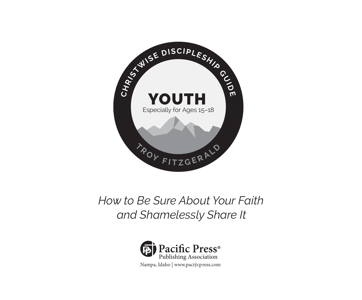

# *How to Be Sure About Your Faith and Shamelessly Share It*

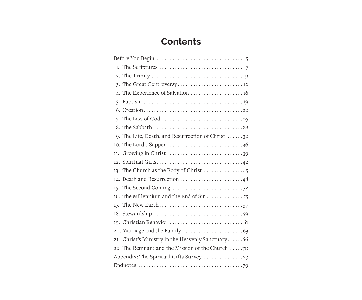# **Contents**

| 4. The Experience of Salvation  16                                               |
|----------------------------------------------------------------------------------|
|                                                                                  |
|                                                                                  |
| 7. The Law of God $\dots\dots\dots\dots\dots\dots\dots\dots\dots\dots\dots\dots$ |
|                                                                                  |
| 9. The Life, Death, and Resurrection of Christ 32                                |
| 10. The Lord's Supper 36                                                         |
| 11. Growing in Christ 39                                                         |
|                                                                                  |
| 13. The Church as the Body of Christ 45                                          |
| 14. Death and Resurrection 48                                                    |
|                                                                                  |
| 16. The Millennium and the End of Sin55                                          |
|                                                                                  |
|                                                                                  |
|                                                                                  |
|                                                                                  |
| 21. Christ's Ministry in the Heavenly Sanctuary66                                |
| 22. The Remnant and the Mission of the Church 70                                 |
| Appendix: The Spiritual Gifts Survey 73                                          |
|                                                                                  |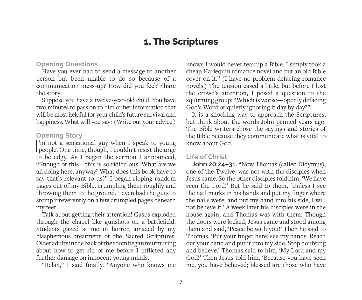### **1. The Scriptures**

#### **Opening Questions**

Have you ever had to send a message to another person but been unable to do so because of a communication mess-up? How did you feel? Share the story.

Suppose you have a twelve-year-old child. You have two minutes to pass on to him or her information that will be most helpful for your child's future survival and happiness. What will you say? (Write out your advice.)

#### **Opening Story**

I 'm not a sensational guy when I speak to young people. One time, though, I couldn't resist the urge to be edgy. As I began the sermon I announced, "Enough of this—this is so ridiculous! What are we all doing here, anyway? What does this book have to say that's relevant to us?" I began ripping random pages out of my Bible, crumpling them roughly and throwing them to the ground. I even had the guts to stomp irreverently on a few crumpled pages beneath my feet.

Talk about getting their attention! Gasps exploded through the chapel like gunshots on a battlefield. Students gazed at me in horror, amazed by my blasphemous treatment of the Sacred Scriptures. Older adults in the back of the room began murmuring about how to get rid of me before I inflicted any further damage on innocent young minds.

"Relax," I said finally. "Anyone who knows me

knows I would never tear up a Bible. I simply took a cheap Harlequin romance novel and put an old Bible cover on it." (I have no problem defacing romance novels.) The tension eased a little, but before I lost the crowd's attention, I posed a question to the squirming group: "Which is worse—openly defacing God's Word or quietly ignoring it day by day?"

It is a shocking way to approach the Scriptures, but think about the words John penned years ago. The Bible writers chose the sayings and stories of the Bible because they communicate what is vital to know about God.

#### **Life of Christ**

**John 20:24–31.** "Now Thomas (called Didymus), one of the Twelve, was not with the disciples when Jesus came. So the other disciples told him, 'We have seen the Lord!' But he said to them, 'Unless I see the nail marks in his hands and put my finger where the nails were, and put my hand into his side, I will not believe it.' A week later his disciples were in the house again, and Thomas was with them. Though the doors were locked, Jesus came and stood among them and said, 'Peace be with you!' Then he said to Thomas, 'Put your finger here; see my hands. Reach out your hand and put it into my side. Stop doubting and believe.' Thomas said to him, 'My Lord and my God!' Then Jesus told him, 'Because you have seen me, you have believed; blessed are those who have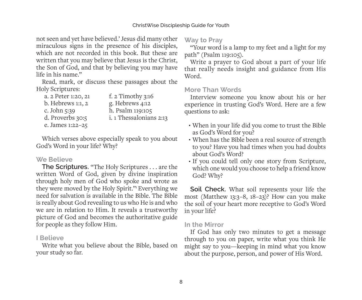not seen and yet have believed.' Jesus did many other miraculous signs in the presence of his disciples, which are not recorded in this book. But these are written that you may believe that Jesus is the Christ, the Son of God, and that by believing you may have life in his name."

Read, mark, or discuss these passages about the Holy Scriptures:

| a. 2 Peter 1:20, 21 | f. $2$ Timothy $3:16$   |
|---------------------|-------------------------|
| b. Hebrews 1:1, 2   | g. Hebrews 4:12         |
| c. John 5:39        | h. Psalm 119:105        |
| d. Proverbs 30:5    | i. 1 Thessalonians 2:13 |
| e. James 1:22-25    |                         |

Which verses above especially speak to you about God's Word in your life? Why?

#### **We Believe**

**The Scriptures.** "The Holy Scriptures . . . are the written Word of God, given by divine inspiration through holy men of God who spoke and wrote as they were moved by the Holy Spirit."1 Everything we need for salvation is available in the Bible. The Bible is really about God revealing to us who He is and who we are in relation to Him. It reveals a trustworthy picture of God and becomes the authoritative guide for people as they follow Him.

#### **I Believe**

Write what you believe about the Bible, based on your study so far.

#### **Way to Pray**

"Your word is a lamp to my feet and a light for my path" (Psalm 119:105).

Write a prayer to God about a part of your life that really needs insight and guidance from His Word.

#### **More Than Words**

Interview someone you know about his or her experience in trusting God's Word. Here are a few questions to ask:

- When in your life did you come to trust the Bible as God's Word for you?
- When has the Bible been a real source of strength to you? Have you had times when you had doubts about God's Word?
- If you could tell only one story from Scripture, which one would you choose to help a friend know God? Why?

**Soil Check.** What soil represents your life the most (Matthew 13:3–8, 18–23)? How can you make the soil of your heart more receptive to God's Word in your life?

#### **In the Mirror**

If God has only two minutes to get a message through to you on paper, write what you think He might say to you—keeping in mind what you know about the purpose, person, and power of His Word.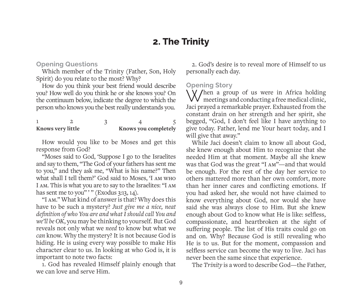## **2. The Trinity**

#### **Opening Questions**

Which member of the Trinity (Father, Son, Holy Spirit) do you relate to the most? Why?

How do you think your best friend would describe you? How well do you think he or she knows you? On the continuum below, indicate the degree to which the person who knows you the best really understands you.

| Knows very little |  | Knows you completely |  |
|-------------------|--|----------------------|--|

How would you like to be Moses and get this response from God?

"Moses said to God, 'Suppose I go to the Israelites and say to them, "The God of your fathers has sent me to you," and they ask me, "What is his name?" Then what shall I tell them?' God said to Moses, 'I am who I am. This is what you are to say to the Israelites: "I am has sent me to you"'" (Exodus  $3:13, 14$ ).

"I am." What kind of answer is that? Why does this have to be such a mystery? *Just give me a nice, neat definition of who You are and what I should call You and we'll be OK*, you may be thinking to yourself. But God reveals not only what we *need* to know but what we *can* know. Why the mystery? It is not because God is hiding. He is using every way possible to make His character clear to us. In looking at who God is, it is important to note two facts:

1. God has revealed Himself plainly enough that we can love and serve Him.

2. God's desire is to reveal more of Himself to us personally each day.

#### **Opening Story**

When a group of us were in Africa holding meetings and conducting a free medical clinic, Jaci prayed a remarkable prayer. Exhausted from the constant drain on her strength and her spirit, she begged, "God, I don't feel like I have anything to give today. Father, lend me Your heart today, and I will give that away."

While Jaci doesn't claim to know all about God, she knew enough about Him to recognize that she needed Him at that moment. Maybe all she knew was that God was the great "I am"—and that would be enough. For the rest of the day her service to others mattered more than her own comfort, more than her inner cares and conflicting emotions. If you had asked her, she would not have claimed to know everything about God, nor would she have said she was always close to Him. But she knew enough about God to know what He is like: selfless, compassionate, and heartbroken at the sight of suffering people. The list of His traits could go on and on. Why? Because God is still revealing who He is to us. But for the moment, compassion and selfless service can become the way to live. Jaci has never been the same since that experience.

The *Trinity* is a word to describe God—the Father,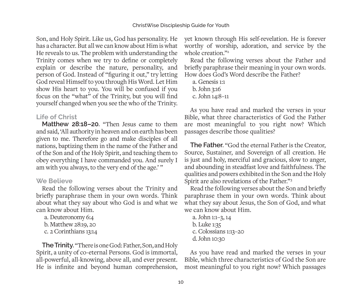Son, and Holy Spirit. Like us, God has personality. He has a character. But all we can know about Him is what He reveals to us. The problem with understanding the Trinity comes when we try to define or completely explain or describe the nature, personality, and person of God. Instead of "figuring it out," try letting God reveal Himself to you through His Word. Let Him show His heart to you. You will be confused if you focus on the "what" of the Trinity, but you will find yourself changed when you see the who of the Trinity.

#### **Life of Christ**

**Matthew 28:18–20.** "Then Jesus came to them and said, 'All authority in heaven and on earth has been given to me. Therefore go and make disciples of all nations, baptizing them in the name of the Father and of the Son and of the Holy Spirit, and teaching them to obey everything I have commanded you. And surely I am with you always, to the very end of the age.'"

#### **We Believe**

Read the following verses about the Trinity and briefly paraphrase them in your own words. Think about what they say about who God is and what we can know about Him.

- a. Deuteronomy 6:4
- b. Matthew 28:19, 20
- c. 2 Corinthians 13:14

**The Trinity.** "There is one God: Father, Son, and Holy Spirit, a unity of co-eternal Persons. God is immortal, all-powerful, all-knowing, above all, and ever present. He is infinite and beyond human comprehension,

yet known through His self-revelation. He is forever worthy of worship, adoration, and service by the whole creation. $"$ 

Read the following verses about the Father and briefly paraphrase their meaning in your own words. How does God's Word describe the Father?

- a. Genesis 1:1 b.John 3:16
- c. John 14:8–11

As you have read and marked the verses in your Bible, what three characteristics of God the Father are most meaningful to you right now? Which passages describe those qualities?

**The Father.** "God the eternal Father is the Creator, Source, Sustainer, and Sovereign of all creation. He is just and holy, merciful and gracious, slow to anger, and abounding in steadfast love and faithfulness. The qualities and powers exhibited in the Son and the Holy Spirit are also revelations of the Father."3

Read the following verses about the Son and briefly paraphrase them in your own words. Think about what they say about Jesus, the Son of God, and what we can know about Him.

a. John 1:1–3, 14 b. Luke 1:35 c. Colossians 1:13–20 d.John 10:30

As you have read and marked the verses in your Bible, which three characteristics of God the Son are most meaningful to you right now? Which passages